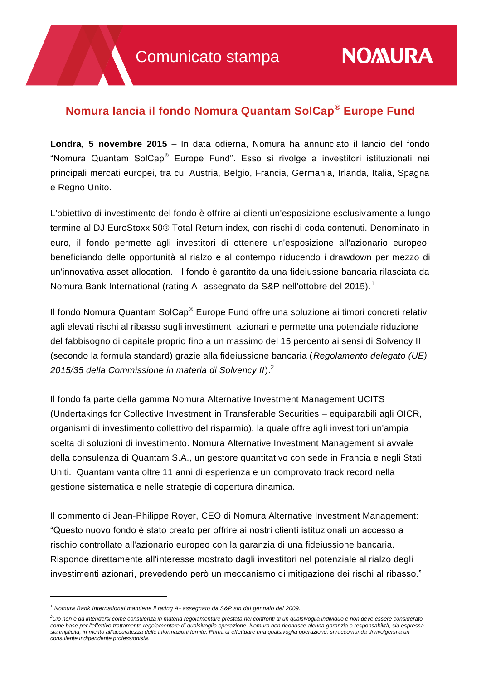# **Nomura lancia il fondo Nomura Quantam SolCap® Europe Fund**

**Londra, 5 novembre 2015** – In data odierna, Nomura ha annunciato il lancio del fondo "Nomura Quantam SolCap® Europe Fund". Esso si rivolge a investitori istituzionali nei principali mercati europei, tra cui Austria, Belgio, Francia, Germania, Irlanda, Italia, Spagna e Regno Unito.

L'obiettivo di investimento del fondo è offrire ai clienti un'esposizione esclusivamente a lungo termine al DJ EuroStoxx 50® Total Return index, con rischi di coda contenuti. Denominato in euro, il fondo permette agli investitori di ottenere un'esposizione all'azionario europeo, beneficiando delle opportunità al rialzo e al contempo riducendo i drawdown per mezzo di un'innovativa asset allocation. Il fondo è garantito da una fideiussione bancaria rilasciata da Nomura Bank International (rating A- assegnato da S&P nell'ottobre del 2015).<sup>1</sup>

Il fondo Nomura Quantam SolCap® Europe Fund offre una soluzione ai timori concreti relativi agli elevati rischi al ribasso sugli investimenti azionari e permette una potenziale riduzione del fabbisogno di capitale proprio fino a un massimo del 15 percento ai sensi di Solvency II (secondo la formula standard) grazie alla fideiussione bancaria (*Regolamento delegato (UE) 2015/35 della Commissione in materia di Solvency II*).<sup>2</sup>

Il fondo fa parte della gamma Nomura Alternative Investment Management UCITS (Undertakings for Collective Investment in Transferable Securities – equiparabili agli OICR, organismi di investimento collettivo del risparmio), la quale offre agli investitori un'ampia scelta di soluzioni di investimento. Nomura Alternative Investment Management si avvale della consulenza di Quantam S.A., un gestore quantitativo con sede in Francia e negli Stati Uniti. Quantam vanta oltre 11 anni di esperienza e un comprovato track record nella gestione sistematica e nelle strategie di copertura dinamica.

Il commento di Jean-Philippe Royer, CEO di Nomura Alternative Investment Management: "Questo nuovo fondo è stato creato per offrire ai nostri clienti istituzionali un accesso a rischio controllato all'azionario europeo con la garanzia di una fideiussione bancaria. Risponde direttamente all'interesse mostrato dagli investitori nel potenziale al rialzo degli investimenti azionari, prevedendo però un meccanismo di mitigazione dei rischi al ribasso."

*<sup>1</sup> Nomura Bank International mantiene il rating A- assegnato da S&P sin dal gennaio del 2009.*

*<sup>2</sup>Ciò non è da intendersi come consulenza in materia regolamentare prestata nei confronti di un qualsivoglia individuo e non deve essere considerato come base per l'effettivo trattamento regolamentare di qualsivoglia operazione. Nomura non riconosce alcuna garanzia o responsabilità, sia espressa sia implicita, in merito all'accuratezza delle informazioni fornite. Prima di effettuare una qualsivoglia operazione, si raccomanda di rivolgersi a un consulente indipendente professionista.*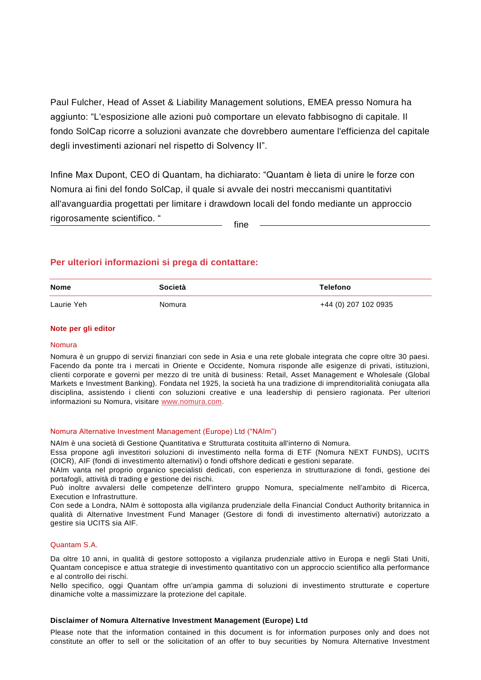Paul Fulcher, Head of Asset & Liability Management solutions, EMEA presso Nomura ha aggiunto: "L'esposizione alle azioni può comportare un elevato fabbisogno di capitale. Il fondo SolCap ricorre a soluzioni avanzate che dovrebbero aumentare l'efficienza del capitale degli investimenti azionari nel rispetto di Solvency II".

Infine Max Dupont, CEO di Quantam, ha dichiarato: "Quantam è lieta di unire le forze con Nomura ai fini del fondo SolCap, il quale si avvale dei nostri meccanismi quantitativi all'avanguardia progettati per limitare i drawdown locali del fondo mediante un approccio rigorosamente scientifico. " fine

# **Per ulteriori informazioni si prega di contattare:**

| <b>Nome</b> | <b>Società</b> | Telefono             |
|-------------|----------------|----------------------|
| Laurie Yeh  | Nomura         | +44 (0) 207 102 0935 |

#### **Note per gli editor**

#### Nomura

Nomura è un gruppo di servizi finanziari con sede in Asia e una rete globale integrata che copre oltre 30 paesi. Facendo da ponte tra i mercati in Oriente e Occidente, Nomura risponde alle esigenze di privati, istituzioni, clienti corporate e governi per mezzo di tre unità di business: Retail, Asset Management e Wholesale (Global Markets e Investment Banking). Fondata nel 1925, la società ha una tradizione di imprenditorialità coniugata alla disciplina, assistendo i clienti con soluzioni creative e una leadership di pensiero ragionata. Per ulteriori informazioni su Nomura, visitare [www.nomura.com.](http://www.nomura.com/)

#### Nomura Alternative Investment Management (Europe) Ltd ("NAIm")

NAIm è una società di Gestione Quantitativa e Strutturata costituita all'interno di Nomura.

Essa propone agli investitori soluzioni di investimento nella forma di ETF (Nomura NEXT FUNDS), UCITS (OICR), AIF (fondi di investimento alternativi) o fondi offshore dedicati e gestioni separate.

NAIm vanta nel proprio organico specialisti dedicati, con esperienza in strutturazione di fondi, gestione dei portafogli, attività di trading e gestione dei rischi.

Può inoltre avvalersi delle competenze dell'intero gruppo Nomura, specialmente nell'ambito di Ricerca, Execution e Infrastrutture.

Con sede a Londra, NAIm è sottoposta alla vigilanza prudenziale della Financial Conduct Authority britannica in qualità di Alternative Investment Fund Manager (Gestore di fondi di investimento alternativi) autorizzato a gestire sia UCITS sia AIF.

## Quantam S.A.

Da oltre 10 anni, in qualità di gestore sottoposto a vigilanza prudenziale attivo in Europa e negli Stati Uniti, Quantam concepisce e attua strategie di investimento quantitativo con un approccio scientifico alla performance e al controllo dei rischi.

Nello specifico, oggi Quantam offre un'ampia gamma di soluzioni di investimento strutturate e coperture dinamiche volte a massimizzare la protezione del capitale.

#### **Disclaimer of Nomura Alternative Investment Management (Europe) Ltd**

Please note that the information contained in this document is for information purposes only and does not constitute an offer to sell or the solicitation of an offer to buy securities by Nomura Alternative Investment